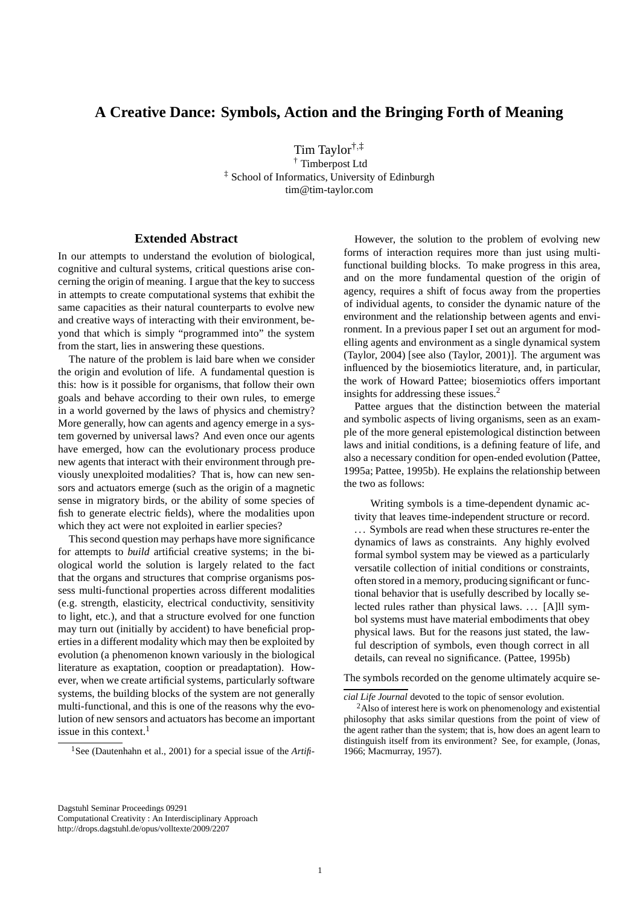## **A Creative Dance: Symbols, Action and the Bringing Forth of Meaning**

Tim Taylor†,‡ † Timberpost Ltd ‡ School of Informatics, University of Edinburgh tim@tim-taylor.com

## **Extended Abstract**

In our attempts to understand the evolution of biological, cognitive and cultural systems, critical questions arise concerning the origin of meaning. I argue that the key to success in attempts to create computational systems that exhibit the same capacities as their natural counterparts to evolve new and creative ways of interacting with their environment, beyond that which is simply "programmed into" the system from the start, lies in answering these questions.

The nature of the problem is laid bare when we consider the origin and evolution of life. A fundamental question is this: how is it possible for organisms, that follow their own goals and behave according to their own rules, to emerge in a world governed by the laws of physics and chemistry? More generally, how can agents and agency emerge in a system governed by universal laws? And even once our agents have emerged, how can the evolutionary process produce new agents that interact with their environment through previously unexploited modalities? That is, how can new sensors and actuators emerge (such as the origin of a magnetic sense in migratory birds, or the ability of some species of fish to generate electric fields), where the modalities upon which they act were not exploited in earlier species?

This second question may perhaps have more significance for attempts to *build* artificial creative systems; in the biological world the solution is largely related to the fact that the organs and structures that comprise organisms possess multi-functional properties across different modalities (e.g. strength, elasticity, electrical conductivity, sensitivity to light, etc.), and that a structure evolved for one function may turn out (initially by accident) to have beneficial properties in a different modality which may then be exploited by evolution (a phenomenon known variously in the biological literature as exaptation, cooption or preadaptation). However, when we create artificial systems, particularly software systems, the building blocks of the system are not generally multi-functional, and this is one of the reasons why the evolution of new sensors and actuators has become an important issue in this context.<sup>1</sup>

However, the solution to the problem of evolving new forms of interaction requires more than just using multifunctional building blocks. To make progress in this area, and on the more fundamental question of the origin of agency, requires a shift of focus away from the properties of individual agents, to consider the dynamic nature of the environment and the relationship between agents and environment. In a previous paper I set out an argument for modelling agents and environment as a single dynamical system (Taylor, 2004) [see also (Taylor, 2001)]. The argument was influenced by the biosemiotics literature, and, in particular, the work of Howard Pattee; biosemiotics offers important insights for addressing these issues.<sup>2</sup>

Pattee argues that the distinction between the material and symbolic aspects of living organisms, seen as an example of the more general epistemological distinction between laws and initial conditions, is a defining feature of life, and also a necessary condition for open-ended evolution (Pattee, 1995a; Pattee, 1995b). He explains the relationship between the two as follows:

Writing symbols is a time-dependent dynamic activity that leaves time-independent structure or record. . . . Symbols are read when these structures re-enter the dynamics of laws as constraints. Any highly evolved formal symbol system may be viewed as a particularly versatile collection of initial conditions or constraints, often stored in a memory, producing significant or functional behavior that is usefully described by locally selected rules rather than physical laws. . . . [A]ll symbol systems must have material embodiments that obey physical laws. But for the reasons just stated, the lawful description of symbols, even though correct in all details, can reveal no significance. (Pattee, 1995b)

The symbols recorded on the genome ultimately acquire se-

<sup>&</sup>lt;sup>1</sup>See (Dautenhahn et al., 2001) for a special issue of the *Artifi*-

*cial Life Journal* devoted to the topic of sensor evolution.

<sup>&</sup>lt;sup>2</sup>Also of interest here is work on phenomenology and existential philosophy that asks similar questions from the point of view of the agent rather than the system; that is, how does an agent learn to distinguish itself from its environment? See, for example, (Jonas, 1966; Macmurray, 1957).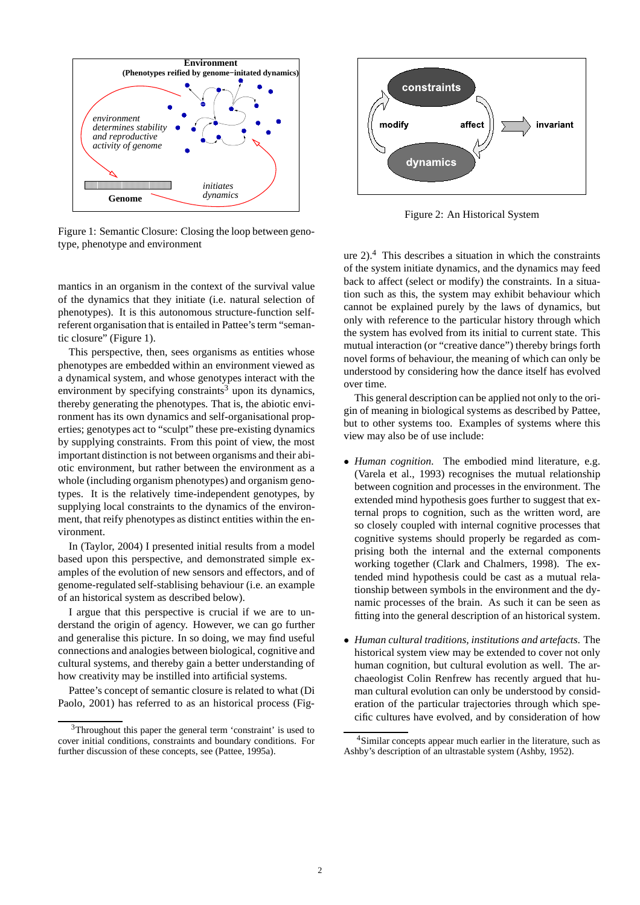

Figure 1: Semantic Closure: Closing the loop between genotype, phenotype and environment

mantics in an organism in the context of the survival value of the dynamics that they initiate (i.e. natural selection of phenotypes). It is this autonomous structure-function selfreferent organisation that is entailed in Pattee's term "semantic closure" (Figure 1).

This perspective, then, sees organisms as entities whose phenotypes are embedded within an environment viewed as a dynamical system, and whose genotypes interact with the environment by specifying constraints<sup>3</sup> upon its dynamics, thereby generating the phenotypes. That is, the abiotic environment has its own dynamics and self-organisational properties; genotypes act to "sculpt" these pre-existing dynamics by supplying constraints. From this point of view, the most important distinction is not between organisms and their abiotic environment, but rather between the environment as a whole (including organism phenotypes) and organism genotypes. It is the relatively time-independent genotypes, by supplying local constraints to the dynamics of the environment, that reify phenotypes as distinct entities within the environment.

In (Taylor, 2004) I presented initial results from a model based upon this perspective, and demonstrated simple examples of the evolution of new sensors and effectors, and of genome-regulated self-stablising behaviour (i.e. an example of an historical system as described below).

I argue that this perspective is crucial if we are to understand the origin of agency. However, we can go further and generalise this picture. In so doing, we may find useful connections and analogies between biological, cognitive and cultural systems, and thereby gain a better understanding of how creativity may be instilled into artificial systems.

Pattee's concept of semantic closure is related to what (Di Paolo, 2001) has referred to as an historical process (Fig-



Figure 2: An Historical System

ure  $2)$ .<sup>4</sup> This describes a situation in which the constraints of the system initiate dynamics, and the dynamics may feed back to affect (select or modify) the constraints. In a situation such as this, the system may exhibit behaviour which cannot be explained purely by the laws of dynamics, but only with reference to the particular history through which the system has evolved from its initial to current state. This mutual interaction (or "creative dance") thereby brings forth novel forms of behaviour, the meaning of which can only be understood by considering how the dance itself has evolved over time.

This general description can be applied not only to the origin of meaning in biological systems as described by Pattee, but to other systems too. Examples of systems where this view may also be of use include:

- *Human cognition*. The embodied mind literature, e.g. (Varela et al., 1993) recognises the mutual relationship between cognition and processes in the environment. The extended mind hypothesis goes further to suggest that external props to cognition, such as the written word, are so closely coupled with internal cognitive processes that cognitive systems should properly be regarded as comprising both the internal and the external components working together (Clark and Chalmers, 1998). The extended mind hypothesis could be cast as a mutual relationship between symbols in the environment and the dynamic processes of the brain. As such it can be seen as fitting into the general description of an historical system.
- *Human cultural traditions, institutions and artefacts*. The historical system view may be extended to cover not only human cognition, but cultural evolution as well. The archaeologist Colin Renfrew has recently argued that human cultural evolution can only be understood by consideration of the particular trajectories through which specific cultures have evolved, and by consideration of how

<sup>&</sup>lt;sup>3</sup>Throughout this paper the general term 'constraint' is used to cover initial conditions, constraints and boundary conditions. For further discussion of these concepts, see (Pattee, 1995a).

<sup>4</sup>Similar concepts appear much earlier in the literature, such as Ashby's description of an ultrastable system (Ashby, 1952).